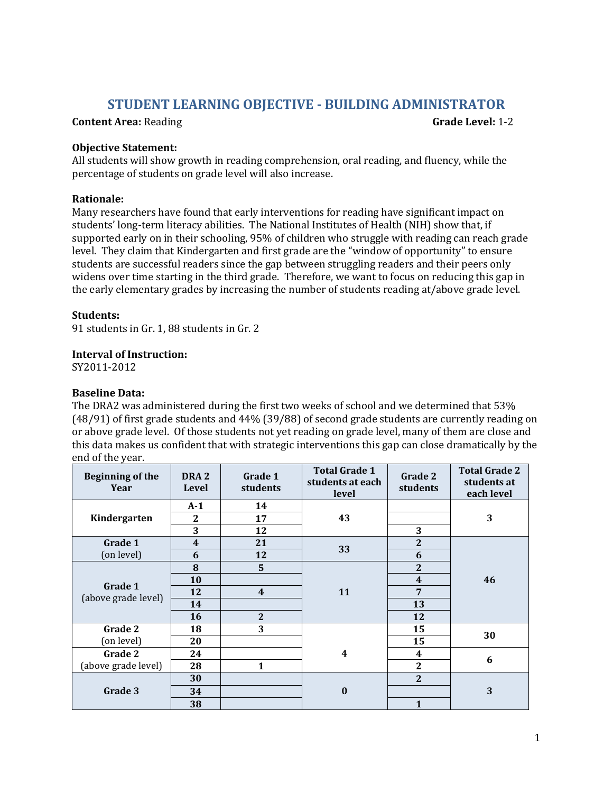# **STUDENT LEARNING OBJECTIVE - BUILDING ADMINISTRATOR**

#### **Content Area:** Reading **Grade Level: 1-2**

#### **Objective Statement:**

All students will show growth in reading comprehension, oral reading, and fluency, while the percentage of students on grade level will also increase.

#### **Rationale:**

Many researchers have found that early interventions for reading have significant impact on students' long-term literacy abilities. The National Institutes of Health (NIH) show that, if supported early on in their schooling, 95% of children who struggle with reading can reach grade level. They claim that Kindergarten and first grade are the "window of opportunity" to ensure students are successful readers since the gap between struggling readers and their peers only widens over time starting in the third grade. Therefore, we want to focus on reducing this gap in the early elementary grades by increasing the number of students reading at/above grade level.

# **Students:**

91 students in Gr. 1, 88 students in Gr. 2

# **Interval of Instruction:**

SY2011-2012

# **Baseline Data:**

The DRA2 was administered during the first two weeks of school and we determined that 53% (48/91) of first grade students and 44% (39/88) of second grade students are currently reading on or above grade level. Of those students not yet reading on grade level, many of them are close and this data makes us confident that with strategic interventions this gap can close dramatically by the end of the year.

| <b>Beginning of the</b><br>Year | DRA <sub>2</sub><br>Level | Grade 1<br>students     | <b>Total Grade 1</b><br>students at each<br>level | Grade 2<br>students | <b>Total Grade 2</b><br>students at<br>each level |
|---------------------------------|---------------------------|-------------------------|---------------------------------------------------|---------------------|---------------------------------------------------|
| Kindergarten                    | $A-1$                     | 14                      |                                                   |                     |                                                   |
|                                 | 2                         | 17                      | 43                                                |                     | 3                                                 |
|                                 | 3                         | 12                      |                                                   | 3                   |                                                   |
| Grade 1                         | $\overline{\mathbf{4}}$   | 21                      |                                                   | $\mathbf{2}$        |                                                   |
| (on level)                      | 6                         | 12                      | 33                                                | 6                   |                                                   |
| Grade 1<br>(above grade level)  | 8                         | 5                       |                                                   | $\overline{2}$      |                                                   |
|                                 | 10                        |                         |                                                   | $\boldsymbol{4}$    | 46                                                |
|                                 | 12                        | $\overline{\mathbf{4}}$ | 11                                                | $7\phantom{1}$      |                                                   |
|                                 | 14                        |                         |                                                   | 13                  |                                                   |
|                                 | 16                        | $\mathbf{2}$            |                                                   | 12                  |                                                   |
| Grade 2                         | 18                        | 3                       |                                                   | 15                  | 30                                                |
| (on level)                      | 20                        |                         |                                                   | 15                  |                                                   |
| Grade 2                         | 24                        |                         | $\boldsymbol{4}$                                  | 4                   |                                                   |
| (above grade level)             | 28                        | 1                       |                                                   | $\overline{2}$      | 6                                                 |
| Grade 3                         | 30                        |                         |                                                   | $\overline{2}$      |                                                   |
|                                 | 34                        |                         | $\bf{0}$                                          |                     | 3                                                 |
|                                 | 38                        |                         |                                                   | 1                   |                                                   |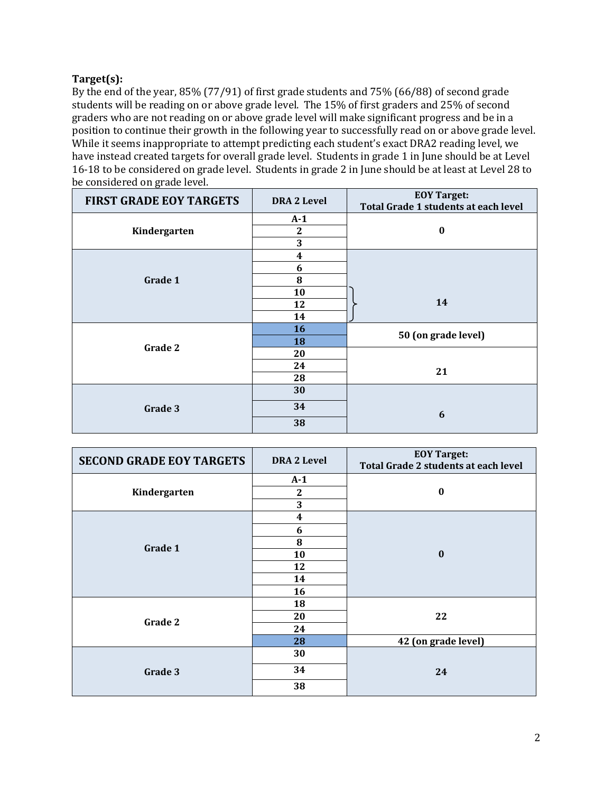# **Target(s):**

By the end of the year, 85% (77/91) of first grade students and 75% (66/88) of second grade students will be reading on or above grade level. The 15% of first graders and 25% of second graders who are not reading on or above grade level will make significant progress and be in a position to continue their growth in the following year to successfully read on or above grade level. While it seems inappropriate to attempt predicting each student's exact DRA2 reading level, we have instead created targets for overall grade level. Students in grade 1 in June should be at Level 16-18 to be considered on grade level. Students in grade 2 in June should be at least at Level 28 to be considered on grade level.

| <b>FIRST GRADE EOY TARGETS</b> | <b>DRA 2 Level</b> | <b>EOY Target:</b>                          |  |
|--------------------------------|--------------------|---------------------------------------------|--|
|                                |                    | <b>Total Grade 1 students at each level</b> |  |
|                                | $A-1$              |                                             |  |
| Kindergarten                   | $\boldsymbol{2}$   | $\bf{0}$                                    |  |
|                                | 3                  |                                             |  |
|                                | 4                  |                                             |  |
|                                | 6                  |                                             |  |
| Grade 1                        | 8                  |                                             |  |
|                                | 10                 |                                             |  |
|                                | 12                 | 14                                          |  |
|                                | 14                 |                                             |  |
|                                | 16                 |                                             |  |
| Grade 2                        | 18                 | 50 (on grade level)                         |  |
|                                | 20                 |                                             |  |
|                                | 24                 | 21                                          |  |
|                                | 28                 |                                             |  |
|                                | 30                 |                                             |  |
| Grade 3                        | 34                 |                                             |  |
|                                |                    | 6                                           |  |
|                                | 38                 |                                             |  |

| <b>SECOND GRADE EOY TARGETS</b> | <b>DRA 2 Level</b> | <b>EOY Target:</b><br><b>Total Grade 2 students at each level</b> |  |
|---------------------------------|--------------------|-------------------------------------------------------------------|--|
|                                 | $A-1$              |                                                                   |  |
| Kindergarten                    | $\boldsymbol{2}$   | $\boldsymbol{0}$                                                  |  |
|                                 | 3                  |                                                                   |  |
|                                 | 4                  |                                                                   |  |
|                                 | 6                  | $\bf{0}$                                                          |  |
| Grade 1                         | 8                  |                                                                   |  |
|                                 | 10                 |                                                                   |  |
|                                 | 12                 |                                                                   |  |
|                                 | 14                 |                                                                   |  |
|                                 | 16                 |                                                                   |  |
|                                 | 18                 | 22                                                                |  |
| Grade 2                         | 20                 |                                                                   |  |
|                                 | 24                 |                                                                   |  |
|                                 | 28                 | 42 (on grade level)                                               |  |
|                                 | 30                 |                                                                   |  |
| Grade 3                         | 34                 | 24                                                                |  |
|                                 | 38                 |                                                                   |  |